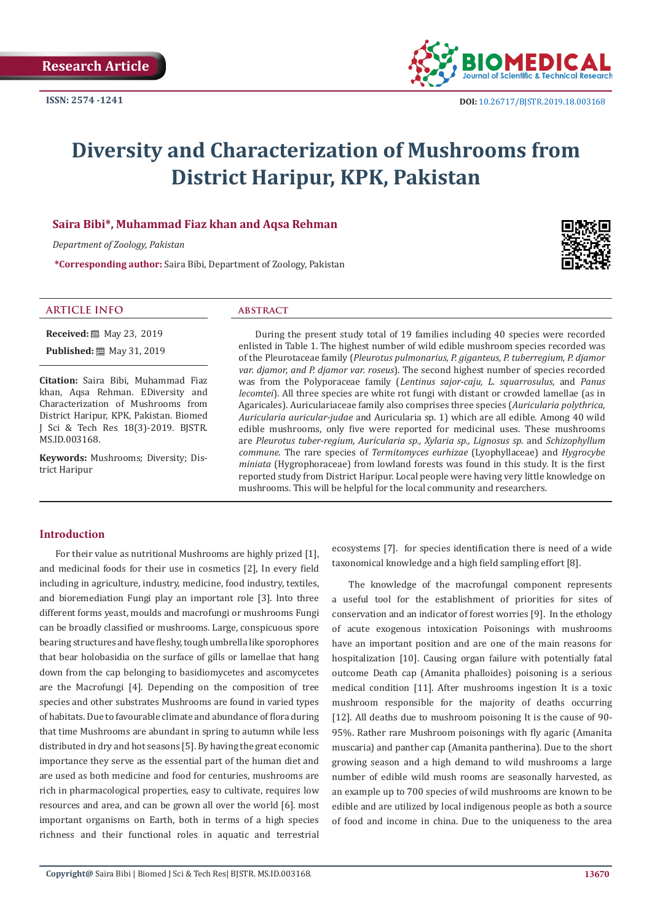

# **Diversity and Characterization of Mushrooms from District Haripur, KPK, Pakistan**

# **Saira Bibi\*, Muhammad Fiaz khan and Aqsa Rehman**

*Department of Zoology, Pakistan*

**\*Corresponding author:** Saira Bibi, Department of Zoology, Pakistan



#### **Received:** 圖 May 23, 2019

**Published:** 圖 May 31, 2019

**Citation:** Saira Bibi, Muhammad Fiaz khan, Aqsa Rehman. EDiversity and Characterization of Mushrooms from District Haripur, KPK, Pakistan. Biomed J Sci & Tech Res 18(3)-2019. BJSTR. MS.ID.003168.

**Keywords:** Mushrooms; Diversity; District Haripur

During the present study total of 19 families including 40 species were recorded enlisted in Table 1. The highest number of wild edible mushroom species recorded was of the Pleurotaceae family (*Pleurotus pulmonarius, P. giganteus, P. tuberregium, P. djamor var. djamor, and P. djamor var. roseus*). The second highest number of species recorded was from the Polyporaceae family (*Lentinus sajor-caju, L. squarrosulus,* and *Panus lecomtei*). All three species are white rot fungi with distant or crowded lamellae (as in Agaricales). Auriculariaceae family also comprises three species (*Auricularia polythrica, Auricularia auricular-judae* and Auricularia sp. 1) which are all edible. Among 40 wild edible mushrooms, only five were reported for medicinal uses. These mushrooms are *Pleurotus tuber-regium, Auricularia sp., Xylaria sp., Lignosus sp*. and *Schizophyllum commune*. The rare species of *Termitomyces eurhizae* (Lyophyllaceae) and *Hygrocybe miniata* (Hygrophoraceae) from lowland forests was found in this study. It is the first reported study from District Haripur. Local people were having very little knowledge on mushrooms. This will be helpful for the local community and researchers.

#### **Introduction**

For their value as nutritional Mushrooms are highly prized [1], and medicinal foods for their use in cosmetics [2], In every field including in agriculture, industry, medicine, food industry, textiles, and bioremediation Fungi play an important role [3]. Into three different forms yeast, moulds and macrofungi or mushrooms Fungi can be broadly classified or mushrooms. Large, conspicuous spore bearing structures and have fleshy, tough umbrella like sporophores that bear holobasidia on the surface of gills or lamellae that hang down from the cap belonging to basidiomycetes and ascomycetes are the Macrofungi [4]. Depending on the composition of tree species and other substrates Mushrooms are found in varied types of habitats. Due to favourable climate and abundance of flora during that time Mushrooms are abundant in spring to autumn while less distributed in dry and hot seasons [5]. By having the great economic importance they serve as the essential part of the human diet and are used as both medicine and food for centuries, mushrooms are rich in pharmacological properties, easy to cultivate, requires low resources and area, and can be grown all over the world [6]. most important organisms on Earth, both in terms of a high species richness and their functional roles in aquatic and terrestrial

ecosystems [7]. for species identification there is need of a wide taxonomical knowledge and a high field sampling effort [8].

The knowledge of the macrofungal component represents a useful tool for the establishment of priorities for sites of conservation and an indicator of forest worries [9]. In the ethology of acute exogenous intoxication Poisonings with mushrooms have an important position and are one of the main reasons for hospitalization [10]. Causing organ failure with potentially fatal outcome Death cap (Amanita phalloides) poisoning is a serious medical condition [11]. After mushrooms ingestion It is a toxic mushroom responsible for the majority of deaths occurring [12]. All deaths due to mushroom poisoning It is the cause of 90- 95%. Rather rare Mushroom poisonings with fly agaric (Amanita muscaria) and panther cap (Amanita pantherina). Due to the short growing season and a high demand to wild mushrooms a large number of edible wild mush rooms are seasonally harvested, as an example up to 700 species of wild mushrooms are known to be edible and are utilized by local indigenous people as both a source of food and income in china. Due to the uniqueness to the area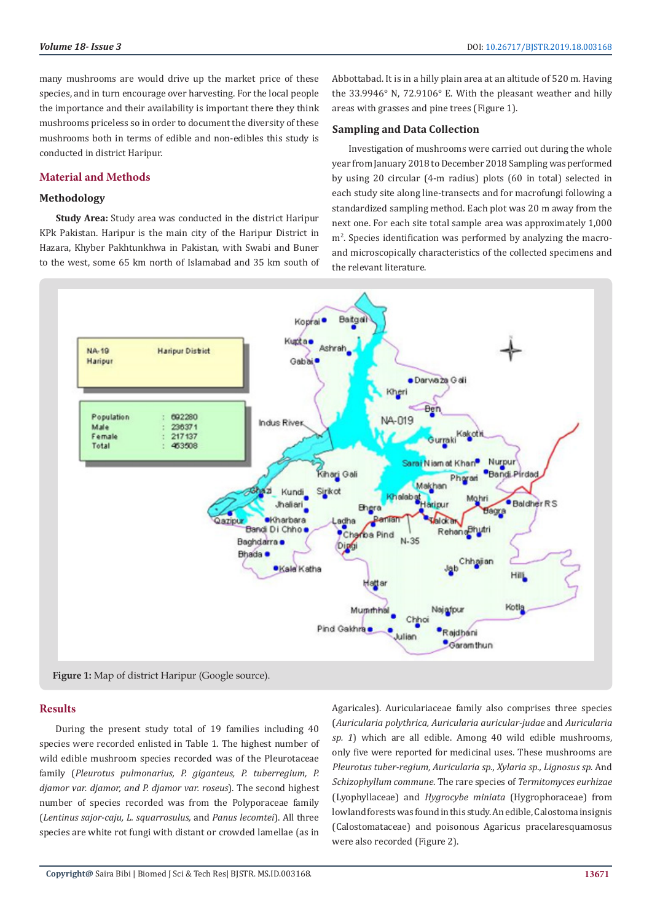many mushrooms are would drive up the market price of these species, and in turn encourage over harvesting. For the local people the importance and their availability is important there they think mushrooms priceless so in order to document the diversity of these mushrooms both in terms of edible and non-edibles this study is conducted in district Haripur.

# **Material and Methods**

# **Methodology**

**Study Area:** Study area was conducted in the district Haripur KPk Pakistan. Haripur is the main city of the Haripur District in Hazara, Khyber Pakhtunkhwa in Pakistan, with Swabi and Buner to the west, some 65 km north of Islamabad and 35 km south of Abbottabad. It is in a hilly plain area at an altitude of 520 m. Having the 33.9946° N, 72.9106° E. With the pleasant weather and hilly areas with grasses and pine trees (Figure 1).

# **Sampling and Data Collection**

Investigation of mushrooms were carried out during the whole year from January 2018 to December 2018 Sampling was performed by using 20 circular (4-m radius) plots (60 in total) selected in each study site along line-transects and for macrofungi following a standardized sampling method. Each plot was 20 m away from the next one. For each site total sample area was approximately 1,000 m<sup>2</sup> . Species identification was performed by analyzing the macroand microscopically characteristics of the collected specimens and the relevant literature.



#### **Results**

During the present study total of 19 families including 40 species were recorded enlisted in Table 1. The highest number of wild edible mushroom species recorded was of the Pleurotaceae family (*Pleurotus pulmonarius, P. giganteus, P. tuberregium, P. djamor var. djamor, and P. djamor var. roseus*). The second highest number of species recorded was from the Polyporaceae family (*Lentinus sajor-caju, L. squarrosulus,* and *Panus lecomtei*). All three species are white rot fungi with distant or crowded lamellae (as in

Agaricales). Auriculariaceae family also comprises three species (*Auricularia polythrica, Auricularia auricular-judae* and *Auricularia sp. 1*) which are all edible. Among 40 wild edible mushrooms, only five were reported for medicinal uses. These mushrooms are *Pleurotus tuber-regium, Auricularia sp., Xylaria sp., Lignosus sp.* And *Schizophyllum commune*. The rare species of *Termitomyces eurhizae* (Lyophyllaceae) and *Hygrocybe miniata* (Hygrophoraceae) from lowland forests was found in this study. An edible, Calostoma insignis (Calostomataceae) and poisonous Agaricus pracelaresquamosus were also recorded (Figure 2).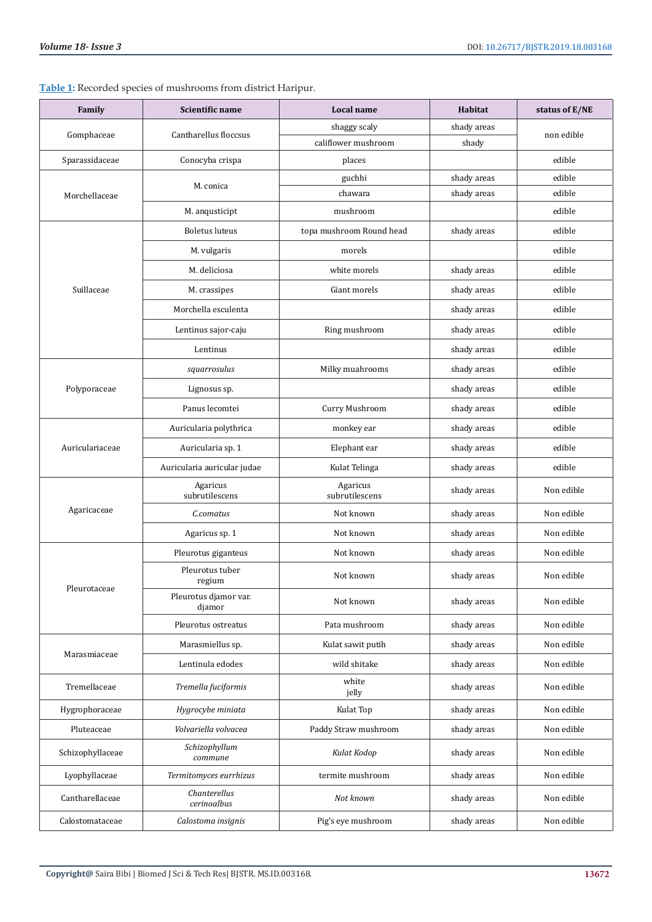**Table 1:** Recorded species of mushrooms from district Haripur.

| Family           | Scientific name                 | Local name                 | Habitat     | status of E/NE |
|------------------|---------------------------------|----------------------------|-------------|----------------|
| Gomphaceae       | Cantharellus floccsus           | shaggy scaly               | shady areas | non edible     |
|                  |                                 | califlower mushroom        | shady       |                |
| Sparassidaceae   | Conocyba crispa                 | places                     |             | edible         |
| Morchellaceae    | M. conica                       | guchhi                     | shady areas | edible         |
|                  |                                 | chawara                    | shady areas | edible         |
|                  | M. anqusticipt                  | mushroom                   |             | edible         |
| Suillaceae       | <b>Boletus</b> luteus           | topa mushroom Round head   | shady areas | edible         |
|                  | M. vulgaris                     | morels                     |             | edible         |
|                  | M. deliciosa                    | white morels               | shady areas | edible         |
|                  | M. crassipes                    | Giant morels               | shady areas | edible         |
|                  | Morchella esculenta             |                            | shady areas | edible         |
|                  | Lentinus sajor-caju             | Ring mushroom              | shady areas | edible         |
|                  | Lentinus                        |                            | shady areas | edible         |
| Polyporaceae     | squarrosulus                    | Milky muahrooms            | shady areas | edible         |
|                  | Lignosus sp.                    |                            | shady areas | edible         |
|                  | Panus lecomtei                  | Curry Mushroom             | shady areas | edible         |
| Auriculariaceae  | Auricularia polythrica          | monkey ear                 | shady areas | edible         |
|                  | Auricularia sp. 1               | Elephant ear               | shady areas | edible         |
|                  | Auricularia auricular judae     | Kulat Telinga              | shady areas | edible         |
| Agaricaceae      | Agaricus<br>subrutilescens      | Agaricus<br>subrutilescens | shady areas | Non edible     |
|                  | C.comatus                       | Not known                  | shady areas | Non edible     |
|                  | Agaricus sp. 1                  | Not known                  | shady areas | Non edible     |
| Pleurotaceae     | Pleurotus giganteus             | Not known                  | shady areas | Non edible     |
|                  | Pleurotus tuber<br>regium       | Not known                  | shady areas | Non edible     |
|                  | Pleurotus djamor var.<br>djamor | Not known                  | shady areas | Non edible     |
|                  | Pleurotus ostreatus             | Pata mushroom              | shady areas | Non edible     |
| Marasmiaceae     | Marasmiellus sp.                | Kulat sawit putih          | shady areas | Non edible     |
|                  | Lentinula edodes                | wild shitake               | shady areas | Non edible     |
| Tremellaceae     | Tremella fuciformis             | white<br>jelly             | shady areas | Non edible     |
| Hygrophoraceae   | Hygrocybe miniata               | Kulat Top                  | shady areas | Non edible     |
| Pluteaceae       | Volvariella volvacea            | Paddy Straw mushroom       | shady areas | Non edible     |
| Schizophyllaceae | Schizophyllum<br>commune        | Kulat Kodop                | shady areas | Non edible     |
| Lyophyllaceae    | Termitomyces eurrhizus          | termite mushroom           | shady areas | Non edible     |
| Cantharellaceae  | Chanterellus<br>cerinoalbus     | Not known                  | shady areas | Non edible     |
| Calostomataceae  | Calostoma insignis              | Pig's eye mushroom         | shady areas | Non edible     |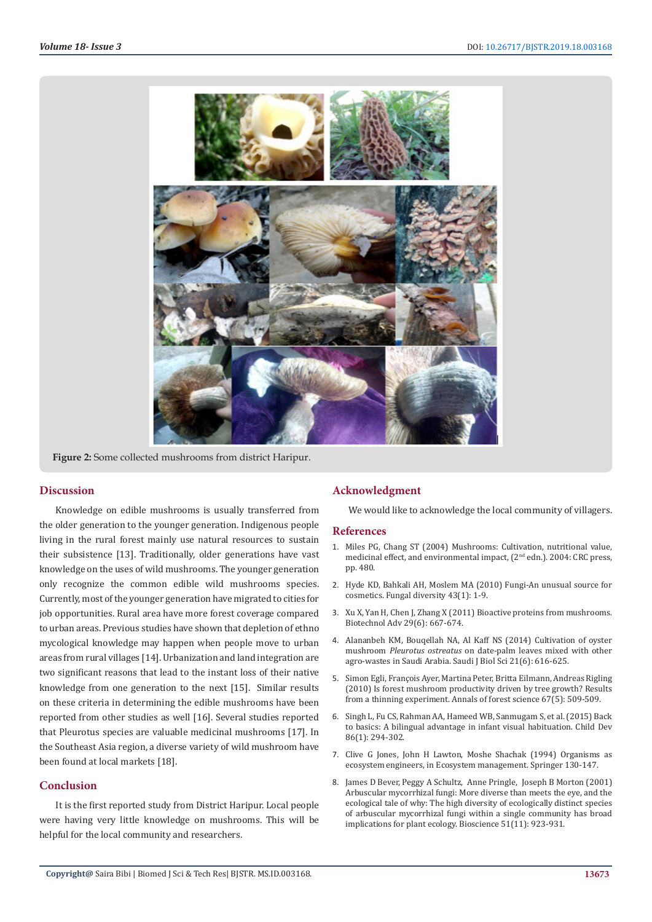

**Figure 2:** Some collected mushrooms from district Haripur.

# **Discussion**

Knowledge on edible mushrooms is usually transferred from the older generation to the younger generation. Indigenous people living in the rural forest mainly use natural resources to sustain their subsistence [13]. Traditionally, older generations have vast knowledge on the uses of wild mushrooms. The younger generation only recognize the common edible wild mushrooms species. Currently, most of the younger generation have migrated to cities for job opportunities. Rural area have more forest coverage compared to urban areas. Previous studies have shown that depletion of ethno mycological knowledge may happen when people move to urban areas from rural villages [14]. Urbanization and land integration are two significant reasons that lead to the instant loss of their native knowledge from one generation to the next [15]. Similar results on these criteria in determining the edible mushrooms have been reported from other studies as well [16]. Several studies reported that Pleurotus species are valuable medicinal mushrooms [17]. In the Southeast Asia region, a diverse variety of wild mushroom have been found at local markets [18].

### **Conclusion**

It is the first reported study from District Haripur. Local people were having very little knowledge on mushrooms. This will be helpful for the local community and researchers.

#### **Acknowledgment**

We would like to acknowledge the local community of villagers.

#### **References**

- 1. [Miles PG, Chang ST \(2004\) Mushrooms: Cultivation, nutritional value,](https://books.google.co.in/books?id=EQjNBQAAQBAJ&printsec=frontcover&source=gbs_ge_summary_r&cad=0) [medicinal effect, and environmental impact, \(2](https://books.google.co.in/books?id=EQjNBQAAQBAJ&printsec=frontcover&source=gbs_ge_summary_r&cad=0)nd edn.). 2004: CRC press, [pp. 480.](https://books.google.co.in/books?id=EQjNBQAAQBAJ&printsec=frontcover&source=gbs_ge_summary_r&cad=0)
- 2. [Hyde KD, Bahkali AH, Moslem MA \(2010\) Fungi-An unusual source for](https://link.springer.com/article/10.1007/s13225-010-0043-3) [cosmetics. Fungal diversity 43\(1\): 1-9.](https://link.springer.com/article/10.1007/s13225-010-0043-3)
- 3. [Xu X, Yan H, Chen J, Zhang X \(2011\) Bioactive proteins from mushrooms.](https://www.ncbi.nlm.nih.gov/pubmed/21605654) [Biotechnol Adv 29\(6\): 667-674.](https://www.ncbi.nlm.nih.gov/pubmed/21605654)
- 4. [Alananbeh KM, Bouqellah NA, Al Kaff NS \(2014\) Cultivation of oyster](https://www.ncbi.nlm.nih.gov/pubmed/25473372) mushroom *Pleurotus ostreatus* [on date-palm leaves mixed with other](https://www.ncbi.nlm.nih.gov/pubmed/25473372) [agro-wastes in Saudi Arabia. Saudi J Biol Sci 21\(6\): 616-625.](https://www.ncbi.nlm.nih.gov/pubmed/25473372)
- 5. [Simon Egli, François Ayer, Martina Peter, Britta Eilmann, Andreas Rigling](https://link.springer.com/article/10.1051/forest/2010011) [\(2010\) Is forest mushroom productivity driven by tree growth? Results](https://link.springer.com/article/10.1051/forest/2010011) [from a thinning experiment. Annals of forest science 67\(5\): 509-509.](https://link.springer.com/article/10.1051/forest/2010011)
- 6. [Singh L, Fu CS, Rahman AA, Hameed WB, Sanmugam S, et al. \(2015\) Back](https://www.ncbi.nlm.nih.gov/pubmed/25074016) [to basics: A bilingual advantage in infant visual habituation. Child Dev](https://www.ncbi.nlm.nih.gov/pubmed/25074016) [86\(1\): 294-302.](https://www.ncbi.nlm.nih.gov/pubmed/25074016)
- 7. [Clive G Jones, John H Lawton, Moshe Shachak \(1994\) Organisms as](https://link.springer.com/chapter/10.1007/978-1-4612-4018-1_14) [ecosystem engineers, in Ecosystem management. Springer 130-147.](https://link.springer.com/chapter/10.1007/978-1-4612-4018-1_14)
- 8. [James D Bever, Peggy A Schultz, Anne Pringle, Joseph B Morton \(2001\)](https://academic.oup.com/bioscience/article/51/11/923/227109) [Arbuscular mycorrhizal fungi: More diverse than meets the eye, and the](https://academic.oup.com/bioscience/article/51/11/923/227109) [ecological tale of why: The high diversity of ecologically distinct species](https://academic.oup.com/bioscience/article/51/11/923/227109) [of arbuscular mycorrhizal fungi within a single community has broad](https://academic.oup.com/bioscience/article/51/11/923/227109) [implications for plant ecology. Bioscience 51\(11\): 923-931.](https://academic.oup.com/bioscience/article/51/11/923/227109)